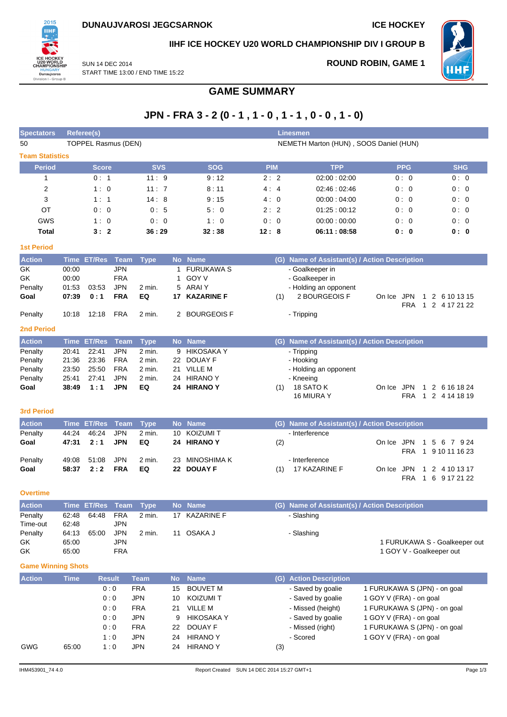

## **IIHF ICE HOCKEY U20 WORLD CHAMPIONSHIP DIV I GROUP B**

SUN 14 DEC 2014 START TIME 13:00 / END TIME 15:22

## **ROUND ROBIN, GAME 1**



**JPN - FRA 3 - 2 (0 - 1 , 1 - 0 , 1 - 1 , 0 - 0 , 1 - 0)**

**GAME SUMMARY**

| <b>Spectators</b>         | Referee(s)     |                                                                      |                           |                          |           |                             |            |      | <b>Linesmen</b>                                                 |                                                         |                               |
|---------------------------|----------------|----------------------------------------------------------------------|---------------------------|--------------------------|-----------|-----------------------------|------------|------|-----------------------------------------------------------------|---------------------------------------------------------|-------------------------------|
| 50                        |                | <b>TOPPEL Rasmus (DEN)</b><br>NEMETH Marton (HUN), SOOS Daniel (HUN) |                           |                          |           |                             |            |      |                                                                 |                                                         |                               |
| <b>Team Statistics</b>    |                |                                                                      |                           |                          |           |                             |            |      |                                                                 |                                                         |                               |
| <b>Period</b>             |                | <b>Score</b>                                                         |                           | <b>SVS</b>               |           | <b>SOG</b>                  | <b>PIM</b> |      | <b>TPP</b>                                                      | <b>PPG</b>                                              | <b>SHG</b>                    |
| 1                         |                | 0:1                                                                  |                           | 11:9                     |           | 9:12                        | 2:2        |      | 02:00:02:00                                                     | 0:0                                                     | 0:0                           |
| 2                         |                | 1:0                                                                  |                           | 11:7                     |           | 8:11                        | 4:4        |      | 02:46:02:46                                                     | 0:0                                                     | 0:0                           |
| 3                         |                | 1:1                                                                  |                           | 14:8                     |           | 9:15                        | 4:0        |      | 00:00:04:00                                                     | 0:0                                                     | 0:0                           |
| ОT                        |                | 0:0                                                                  |                           | 0:5                      |           | 5:0                         | 2:2        |      | 01.25:00.12                                                     | 0:0                                                     | 0:0                           |
| GWS                       |                | 1:0                                                                  |                           | 0:0                      |           | 1:0                         | 0:0        |      | 00:00:00:00                                                     | 0:0                                                     | 0:0                           |
| <b>Total</b>              |                | 3:2                                                                  |                           | 36:29                    |           | 32:38                       | 12:8       |      | 06:11:08:58                                                     | 0: 0                                                    | 0:0                           |
| <b>1st Period</b>         |                |                                                                      |                           |                          |           |                             |            |      |                                                                 |                                                         |                               |
| <b>Action</b>             |                | Time ET/Res Team                                                     |                           | <b>Type</b>              |           | No Name                     |            |      | (G) Name of Assistant(s) / Action Description                   |                                                         |                               |
| GK                        | 00:00          |                                                                      | <b>JPN</b>                |                          | 1         | <b>FURUKAWA S</b>           |            |      | - Goalkeeper in                                                 |                                                         |                               |
| GK<br>Penalty             | 00:00          | 03:53                                                                | <b>FRA</b><br><b>JPN</b>  | 2 min.                   | 1<br>5    | GOY V<br>ARAI Y             |            |      | - Goalkeeper in                                                 |                                                         |                               |
| Goal                      | 01:53<br>07:39 | 0:1                                                                  | <b>FRA</b>                | EQ                       | 17        | <b>KAZARINE F</b>           |            | (1)  | - Holding an opponent<br>2 BOURGEOIS F                          | On Ice JPN<br>$\mathbf{1}$                              | 2 6 10 13 15                  |
|                           |                |                                                                      |                           |                          |           |                             |            |      |                                                                 | <b>FRA</b><br>$\mathbf{1}$                              | 2 4 17 21 22                  |
| Penalty                   | 10:18          | 12:18                                                                | <b>FRA</b>                | 2 min.                   |           | 2 BOURGEOIS F               |            |      | - Tripping                                                      |                                                         |                               |
| <b>2nd Period</b>         |                |                                                                      |                           |                          |           |                             |            |      |                                                                 |                                                         |                               |
| <b>Action</b>             | <b>Time</b>    | <b>ET/Res</b>                                                        | <b>Team</b>               | <b>Type</b>              |           | No Name                     |            |      | (G) Name of Assistant(s) / Action Description                   |                                                         |                               |
| Penalty                   | 20:41          | 22:41                                                                | <b>JPN</b>                | 2 min.                   | 9         | <b>HIKOSAKA Y</b>           |            |      | - Tripping                                                      |                                                         |                               |
| Penalty                   | 21:36          | 23:36                                                                | <b>FRA</b>                | 2 min.                   | 22        | DOUAY F                     |            |      | - Hooking                                                       |                                                         |                               |
| Penalty<br>Penalty        | 23:50<br>25:41 | 25:50<br>27:41                                                       | <b>FRA</b><br><b>JPN</b>  | 2 min.<br>2 min.         | 21.<br>24 | VILLE M<br><b>HIRANO Y</b>  |            |      | - Holding an opponent<br>- Kneeing                              |                                                         |                               |
| Goal                      | 38:49          | 1:1                                                                  | <b>JPN</b>                | EQ                       |           | 24 HIRANO Y                 |            | (1)  | 18 SATO K                                                       | On Ice JPN                                              | 1 2 6 16 18 24                |
|                           |                |                                                                      |                           |                          |           |                             |            |      | 16 MIURA Y                                                      | <b>FRA</b>                                              | 1 2 4 14 18 19                |
| <b>3rd Period</b>         |                |                                                                      |                           |                          |           |                             |            |      |                                                                 |                                                         |                               |
|                           |                |                                                                      |                           |                          |           |                             |            |      |                                                                 |                                                         |                               |
| <b>Action</b>             | <b>Time</b>    | <b>ET/Res</b><br>46:24                                               | <b>Team</b><br><b>JPN</b> | <b>Type</b><br>2 min.    | 10        | No Name<br><b>KOIZUMI T</b> |            |      | (G) Name of Assistant(s) / Action Description<br>- Interference |                                                         |                               |
| Penalty<br>Goal           | 44:24<br>47:31 | 2:1                                                                  | <b>JPN</b>                | EQ                       |           | 24 HIRANO Y                 |            | (2)  |                                                                 | On Ice JPN<br>$\mathbf{1}$                              | 5 6 7 9 24                    |
|                           |                |                                                                      |                           |                          |           |                             |            |      |                                                                 | <b>FRA</b>                                              | 1 9 10 11 16 23               |
| Penalty                   | 49:08          | 51:08                                                                | <b>JPN</b>                | 2 min.                   | 23        | <b>MINOSHIMA K</b>          |            |      | - Interference                                                  |                                                         |                               |
| Goal                      | 58:37          | 2:2                                                                  | <b>FRA</b>                | EQ                       |           | 22 DOUAY F                  |            | (1)  | 17 KAZARINE F                                                   | On Ice JPN<br>$\mathbf{1}$                              | 2 4 10 13 17                  |
|                           |                |                                                                      |                           |                          |           |                             |            |      |                                                                 | <b>FRA</b>                                              | 1 6 9 17 21 22                |
| <b>Overtime</b>           |                |                                                                      |                           |                          |           |                             |            |      |                                                                 |                                                         |                               |
| <b>Action</b>             |                | Time ET/Res                                                          | Team                      | <b>Type</b>              |           | No Name                     |            | (G). | Name of Assistant(s) / Action Description                       |                                                         |                               |
| Penalty                   | 62:48          | 64:48                                                                | <b>FRA</b>                | 2 min.                   |           | 17 KAZARINE F               |            |      | - Slashing                                                      |                                                         |                               |
| Time-out                  | 62:48          |                                                                      | JPN                       |                          |           |                             |            |      |                                                                 |                                                         |                               |
| Penalty<br>GK             | 64:13<br>65:00 | 65:00                                                                | <b>JPN</b><br><b>JPN</b>  | 2 min.                   |           | 11 OSAKA J                  |            |      | - Slashing                                                      |                                                         | 1 FURUKAWA S - Goalkeeper out |
| GK                        | 65:00          |                                                                      | <b>FRA</b>                |                          |           |                             |            |      |                                                                 | 1 GOY V - Goalkeeper out                                |                               |
|                           |                |                                                                      |                           |                          |           |                             |            |      |                                                                 |                                                         |                               |
| <b>Game Winning Shots</b> |                |                                                                      |                           |                          |           |                             |            |      |                                                                 |                                                         |                               |
| <b>Action</b>             | <b>Time</b>    | <b>Result</b>                                                        |                           | <b>Team</b>              | <b>No</b> | <b>Name</b>                 |            |      | (G) Action Description                                          |                                                         |                               |
|                           |                |                                                                      | 0:0                       | <b>FRA</b>               | 15        | <b>BOUVET M</b>             |            |      | - Saved by goalie                                               | 1 FURUKAWA S (JPN) - on goal                            |                               |
|                           |                |                                                                      | 0:0<br>0:0                | <b>JPN</b><br><b>FRA</b> | 10<br>21  | KOIZUMI T<br>VILLE M        |            |      | - Saved by goalie                                               | 1 GOY V (FRA) - on goal                                 |                               |
|                           |                |                                                                      | 0:0                       | <b>JPN</b>               | 9         | <b>HIKOSAKA Y</b>           |            |      | - Missed (height)<br>- Saved by goalie                          | 1 FURUKAWA S (JPN) - on goal<br>1 GOY V (FRA) - on goal |                               |
|                           |                |                                                                      | 0:0                       | <b>FRA</b>               | 22        | DOUAY F                     |            |      | - Missed (right)                                                | 1 FURUKAWA S (JPN) - on goal                            |                               |
|                           |                |                                                                      | 1:0                       | <b>JPN</b>               | 24        | <b>HIRANO Y</b>             |            |      | - Scored                                                        | 1 GOY V (FRA) - on goal                                 |                               |
| <b>GWG</b>                | 65:00          |                                                                      | 1:0                       | <b>JPN</b>               | 24        | <b>HIRANO Y</b>             |            | (3)  |                                                                 |                                                         |                               |
|                           |                |                                                                      |                           |                          |           |                             |            |      |                                                                 |                                                         |                               |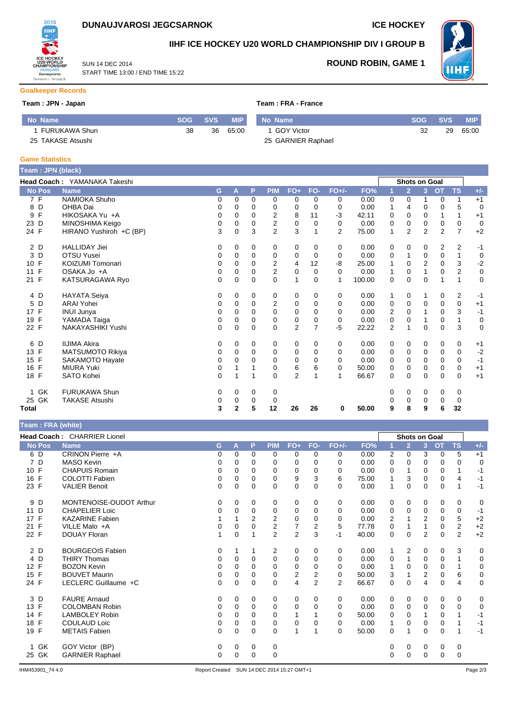

START TIME 13:00 / END TIME 15:22

SUN 14 DEC 2014



# **IIHF ICE HOCKEY U20 WORLD CHAMPIONSHIP DIV I GROUP B**



**ROUND ROBIN, GAME 1**

### **Goalkeeper Records**

## **Team : JPN - Japan Team : FRA - France**

| No Name           |    | SOG SVS | <b>MIP</b> | No Name            | <b>SOG</b> | <b>SVS</b> | <b>MIP</b> |
|-------------------|----|---------|------------|--------------------|------------|------------|------------|
| FURUKAWA Shun     | 38 | 36      | 65:00      | 1 GOY Victor       |            | 29         | 65:00      |
| 25 TAKASE Atsushi |    |         |            | 25 GARNIER Raphael |            |            |            |

#### **Game Statistics**

| Team: JPN (black) |                                     |          |              |             |                |                |                |                |        |                |                      |                |                |                |       |
|-------------------|-------------------------------------|----------|--------------|-------------|----------------|----------------|----------------|----------------|--------|----------------|----------------------|----------------|----------------|----------------|-------|
|                   | <b>Head Coach: YAMANAKA Takeshi</b> |          |              |             |                |                |                |                |        |                | <b>Shots on Goal</b> |                |                |                |       |
| <b>No Pos</b>     | <b>Name</b>                         | G        | A            | P           | <b>PIM</b>     | $FO+$          | FO-            | $FO+/-$        | FO%    |                | $\overline{2}$       | 3              | <b>OT</b>      | <b>TS</b>      | $+/-$ |
| 7 F               | <b>NAMIOKA Shuho</b>                | 0        | 0            | 0           | 0              | 0              | 0              | 0              | 0.00   | 0              | 0                    | 1              | 0              | 1              | $+1$  |
| 8 D               | OHBA Dai                            | 0        | 0            | $\Omega$    | 0              | 0              | 0              | 0              | 0.00   | 1              | 4                    | 0              | $\Omega$       | 5              | 0     |
| F<br>9            | HIKOSAKA Yu +A                      | 0        | 0            | 0           | $\overline{2}$ | 8              | 11             | $-3$           | 42.11  | 0              | 0                    | $\mathbf 0$    |                |                | $+1$  |
| 23 D              | MINOSHIMA Keigo                     | 0        | 0            | 0           | 2              | 0              | 0              | 0              | 0.00   | 0              | 0                    | 0              | 0              | 0              | 0     |
| 24 F              | HIRANO Yushiroh +C (BP)             | 3        | 0            | 3           | $\overline{2}$ | 3              |                | $\overline{2}$ | 75.00  | $\mathbf{1}$   | $\overline{2}$       | $\overline{2}$ | $\overline{2}$ | $\overline{7}$ | $+2$  |
| 2 D               | <b>HALLIDAY Jiei</b>                | 0        | 0            | 0           | 0              | 0              | 0              | 0              | 0.00   | 0              | 0                    | 0              | 2              | 2              | $-1$  |
| D<br>3            | OTSU Yusei                          | 0        | 0            | 0           | 0              | 0              | $\Omega$       | 0              | 0.00   | 0              | 1                    | 0              | 0              | 1              | 0     |
| 10 F              | <b>KOIZUMI Tomonari</b>             | 0        | 0            | $\Omega$    | 2              | 4              | 12             | -8             | 25.00  | 1              | 0                    | $\overline{2}$ | 0              | 3              | $-2$  |
| 11 F              | OSAKA Jo +A                         | 0        | 0            | $\Omega$    | $\overline{2}$ | $\mathbf 0$    | $\Omega$       | $\Omega$       | 0.00   | 1              | 0                    | 1              | 0              | $\overline{2}$ | 0     |
| 21 F              | KATSURAGAWA Ryo                     | 0        | 0            | $\mathbf 0$ | $\mathbf 0$    | 1              | $\mathbf 0$    | 1              | 100.00 | 0              | 0                    | $\mathbf 0$    | 1              | 1              | 0     |
| 4 D               | <b>HAYATA Seiya</b>                 | 0        | 0            | 0           | 0              | 0              | 0              | 0              | 0.00   | 1              | 0                    | 1              | 0              | 2              | $-1$  |
| D<br>5            | <b>ARAI Yohei</b>                   | 0        | 0            | 0           | 2              | 0              | 0              | $\Omega$       | 0.00   | 0              | 0                    | 0              | 0              | 0              | $+1$  |
| F<br>17           | <b>INUI Junya</b>                   | 0        | $\Omega$     | $\Omega$    | $\Omega$       | 0              | $\Omega$       | $\Omega$       | 0.00   | 2              | $\Omega$             | 1              | 0              | 3              | $-1$  |
| F<br>19           | YAMADA Taiga                        | 0        | 0            | 0           | 0              | 0              | $\mathbf 0$    | 0              | 0.00   | 0              | 0                    |                | 0              | 1              | 0     |
| 22 F              | NAKAYASHIKI Yushi                   | $\Omega$ | 0            | $\mathbf 0$ | $\mathbf 0$    | $\overline{2}$ | $\overline{7}$ | $-5$           | 22.22  | $\overline{2}$ |                      | $\Omega$       | $\mathbf 0$    | 3              | 0     |
| 6 D               | <b>IIJIMA Akira</b>                 | 0        | 0            | 0           | 0              | 0              | 0              | 0              | 0.00   | 0              | 0                    | 0              | 0              | 0              | $+1$  |
| F<br>13           | MATSUMOTO Rikiya                    | 0        | 0            | 0           | 0              | 0              | $\mathbf 0$    | 0              | 0.00   | 0              | 0                    | 0              | 0              | 0              | $-2$  |
| F<br>15           | SAKAMOTO Hayate                     | 0        | 0            | 0           | $\Omega$       | 0              | $\Omega$       | $\Omega$       | 0.00   | 0              | 0                    | $\mathbf 0$    | 0              | 0              | $-1$  |
| F<br>16           | <b>MIURA Yuki</b>                   | 0        |              |             | 0              | 6              | 6              | 0              | 50.00  | 0              | 0                    | 0              | 0              | 0              | $+1$  |
| 18 F              | <b>SATO Kohei</b>                   | 0        |              |             | $\Omega$       | $\overline{2}$ |                | 1              | 66.67  | 0              | 0                    | $\Omega$       | $\Omega$       | $\mathbf 0$    | $+1$  |
| GK<br>1           | <b>FURUKAWA Shun</b>                | 0        | 0            | 0           | 0              |                |                |                |        | 0              | 0                    | 0              | 0              | 0              |       |
| GK<br>25          | <b>TAKASE Atsushi</b>               | 0        | 0            | 0           | 0              |                |                |                |        | 0              | 0                    | 0              | 0              | 0              |       |
| Total             |                                     | 3        | $\mathbf{2}$ | 5           | 12             | 26             | 26             | 0              | 50.00  | 9              | 8                    | 9              | 6              | 32             |       |

### **Team : FRA (white)**

| <b>Team . FRA (WHIG)</b>        |                             |             |              |             |                |                |                |          |       |              |                      |                |           |                |             |
|---------------------------------|-----------------------------|-------------|--------------|-------------|----------------|----------------|----------------|----------|-------|--------------|----------------------|----------------|-----------|----------------|-------------|
|                                 | Head Coach: CHARRIER Lionel |             |              |             |                |                |                |          |       |              | <b>Shots on Goal</b> |                |           |                |             |
| <b>No Pos</b>                   | <b>Name</b>                 | G           | $\mathsf{A}$ | P           | <b>PIM</b>     | $FO+$          | FO-            | $FO+/-$  | FO%   | 1            | $\overline{2}$       | 3 <sup>1</sup> | <b>OT</b> | <b>TS</b>      | $+/-$       |
| 6 D                             | CRINON Pierre +A            | 0           | 0            | $\Omega$    | 0              | 0              | $\Omega$       | 0        | 0.00  | 2            | $\Omega$             | 3              | 0         | 5              | $+1$        |
| D<br>$\overline{7}$             | <b>MASO Kevin</b>           | 0           | 0            | 0           | 0              | 0              | 0              | 0        | 0.00  | 0            | 0                    | 0              | 0         | 0              | 0           |
| $\mathsf{F}$<br>10 <sup>1</sup> | <b>CHAPUIS Romain</b>       | 0           | 0            | $\Omega$    | $\Omega$       | 0              | 0              | 0        | 0.00  | 0            |                      | 0              | $\Omega$  |                | $-1$        |
| $\mathsf{F}$<br>16              | <b>COLOTTI Fabien</b>       | 0           | 0            | 0           | 0              | 9              | 3              | 6        | 75.00 | 1            | 3                    | 0              | 0         | 4              | $-1$        |
| 23 F                            | <b>VALIER Benoit</b>        | $\Omega$    | $\Omega$     | $\Omega$    | $\Omega$       | $\mathbf 0$    | $\Omega$       | $\Omega$ | 0.00  | $\mathbf{1}$ | $\Omega$             | 0              | 0         | 1              | $-1$        |
| 9<br>D                          | MONTENOISE-OUDOT Arthur     | 0           | 0            | 0           | 0              | 0              | 0              | 0        | 0.00  | 0            | 0                    | 0              | 0         | 0              | 0           |
| D<br>11                         | <b>CHAPELIER Loic</b>       | $\Omega$    | 0            | 0           | 0              | 0              | $\Omega$       | 0        | 0.00  | 0            | 0                    | $\mathbf 0$    | 0         | 0              | $-1$        |
| $\mathsf{F}$<br>17              | <b>KAZARINE Fabien</b>      |             |              | 2           | $\overline{2}$ | 0              | 0              | 0        | 0.00  | 2            |                      | 2              | 0         | 5              | $+2$        |
| $\mathsf{F}$<br>21              | VILLE Malo +A               | 0           | 0            | 0           | 2              | $\overline{7}$ | 2              | 5        | 77.78 | 0            |                      |                | 0         | $\overline{2}$ | $+2$        |
| 22 F                            | DOUAY Floran                |             | $\Omega$     |             | $\overline{2}$ | $\overline{2}$ | 3              | $-1$     | 40.00 | 0            | $\Omega$             | $\overline{2}$ | $\Omega$  | $\overline{2}$ | $+2$        |
| 2 D                             | <b>BOURGEOIS Fabien</b>     | 0           |              |             | 2              | 0              | 0              | 0        | 0.00  | 1            | 2                    | 0              | 0         | 3              | 0           |
| 4 D                             | <b>THIRY Thomas</b>         | 0           | 0            | $\Omega$    | $\Omega$       | 0              | $\Omega$       | 0        | 0.00  | 0            | 1                    | 0              | $\Omega$  |                | $\mathbf 0$ |
| 12 F                            | <b>BOZON Kevin</b>          | 0           | 0            | 0           | 0              | 0              | 0              | 0        | 0.00  | 1            | 0                    | 0              | 0         |                | 0           |
| $\mathsf{F}$<br>15              | <b>BOUVET Maurin</b>        | 0           | 0            | $\Omega$    | 0              | 2              | $\overline{2}$ | $\Omega$ | 50.00 | 3            |                      | 2              | $\Omega$  | 6              | $\mathbf 0$ |
| 24 F                            | LECLERC Guillaume +C        | $\Omega$    | 0            | 0           | 0              | 4              | $\overline{2}$ | 2        | 66.67 | 0            | 0                    | 4              | 0         | 4              | 0           |
| 3 D                             | <b>FAURE Arnaud</b>         | 0           | 0            | 0           | 0              | 0              | 0              | 0        | 0.00  | 0            | 0                    | 0              | 0         | 0              | 0           |
| $\mathsf{F}$<br>13              | <b>COLOMBAN Robin</b>       | 0           | $\Omega$     | $\Omega$    | 0              | 0              | $\Omega$       | $\Omega$ | 0.00  | 0            | 0                    | $\Omega$       | 0         | 0              | $\mathbf 0$ |
| F<br>14                         | <b>LAMBOLEY Robin</b>       | 0           | 0            | 0           | 0              | 1              |                | 0        | 50.00 | 0            | 0                    |                | 0         |                | $-1$        |
| $\mathsf{F}$<br>18              | <b>COULAUD Loic</b>         | $\mathbf 0$ | $\Omega$     | $\Omega$    | 0              | 0              | 0              | 0        | 0.00  | 1            | $\Omega$             | 0              | 0         |                | $-1$        |
| $\mathsf{F}$<br>19              | <b>METAIS Fabien</b>        | $\Omega$    | $\Omega$     | $\mathbf 0$ | $\Omega$       | 1              |                | $\Omega$ | 50.00 | 0            |                      | 0              | 0         |                | $-1$        |
| GK<br>1.                        | GOY Victor (BP)             | 0           | 0            | 0           | 0              |                |                |          |       | 0            | 0                    | 0              | 0         | 0              |             |
| 25 GK                           | <b>GARNIER Raphael</b>      | 0           | 0            | $\Omega$    | $\Omega$       |                |                |          |       | 0            | $\Omega$             | 0              | 0         | 0              |             |